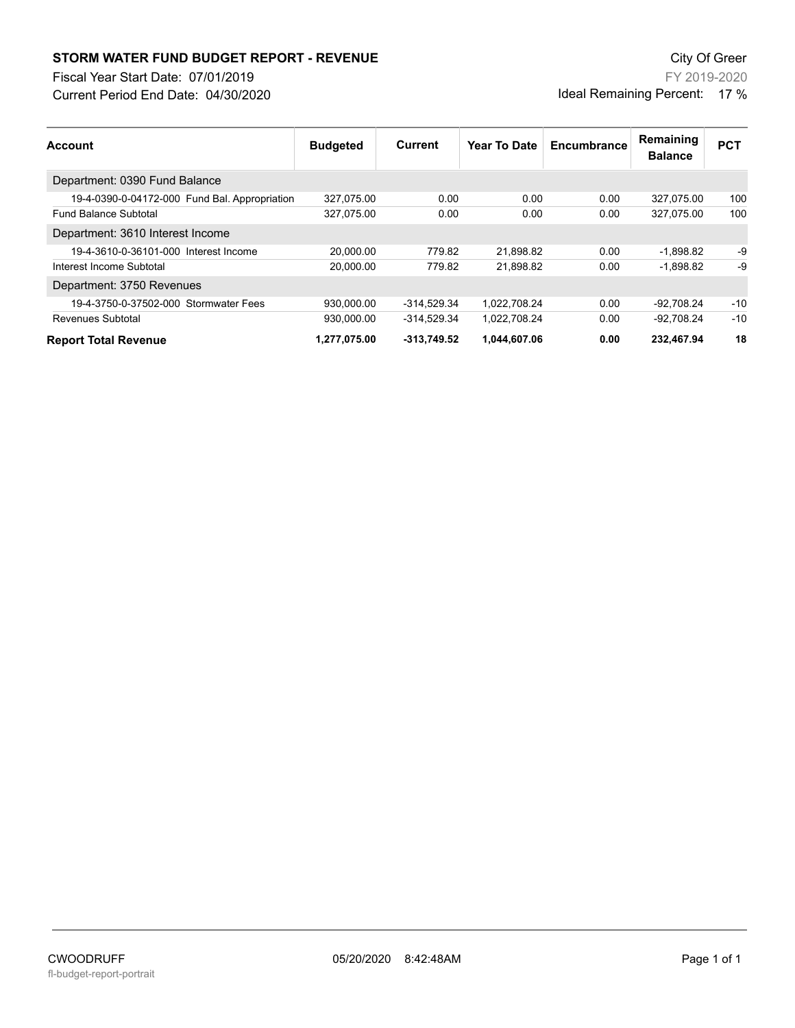## **STORM WATER FUND BUDGET REPORT - REVENUE City Of Greer** City Of Greer

Fiscal Year Start Date: 07/01/2019

Current Period End Date: 04/30/2020

FY 2019-2020 Ideal Remaining Percent: 17 %

| <b>Account</b>                                | <b>Budgeted</b> | Current       | Year To Date | Encumbrance | Remaining<br><b>Balance</b> | <b>PCT</b> |
|-----------------------------------------------|-----------------|---------------|--------------|-------------|-----------------------------|------------|
| Department: 0390 Fund Balance                 |                 |               |              |             |                             |            |
| 19-4-0390-0-04172-000 Fund Bal. Appropriation | 327,075.00      | 0.00          | 0.00         | 0.00        | 327.075.00                  | 100        |
| <b>Fund Balance Subtotal</b>                  | 327,075.00      | 0.00          | 0.00         | 0.00        | 327,075.00                  | 100        |
| Department: 3610 Interest Income              |                 |               |              |             |                             |            |
| 19-4-3610-0-36101-000 Interest Income         | 20.000.00       | 779.82        | 21.898.82    | 0.00        | $-1,898.82$                 | -9         |
| Interest Income Subtotal                      | 20.000.00       | 779.82        | 21.898.82    | 0.00        | $-1.898.82$                 | -9         |
| Department: 3750 Revenues                     |                 |               |              |             |                             |            |
| 19-4-3750-0-37502-000 Stormwater Fees         | 930.000.00      | $-314.529.34$ | 1.022.708.24 | 0.00        | -92.708.24                  | $-10$      |
| Revenues Subtotal                             | 930.000.00      | -314.529.34   | 1.022.708.24 | 0.00        | -92.708.24                  | $-10$      |
| <b>Report Total Revenue</b>                   | 1,277,075.00    | $-313,749.52$ | 1,044,607.06 | 0.00        | 232,467.94                  | 18         |